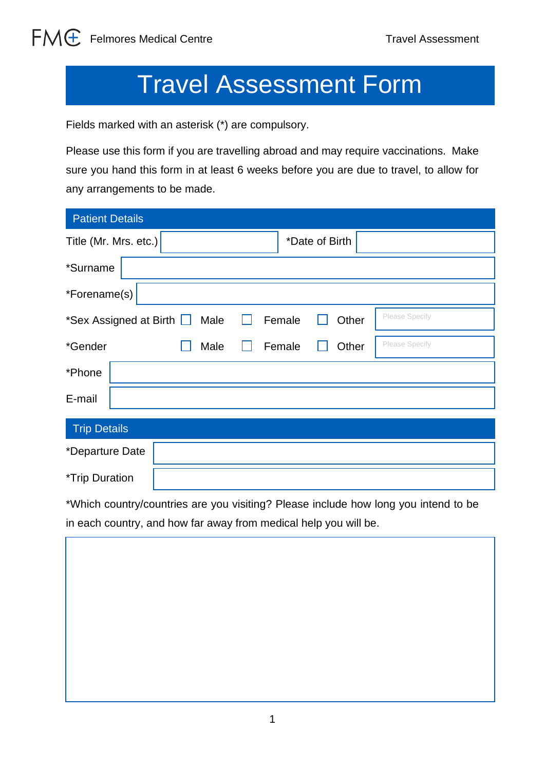## Travel Assessment Form

Fields marked with an asterisk (\*) are compulsory.

Please use this form if you are travelling abroad and may require vaccinations. Make sure you hand this form in at least 6 weeks before you are due to travel, to allow for any arrangements to be made.

| <b>Patient Details</b>                                                |
|-----------------------------------------------------------------------|
| Title (Mr. Mrs. etc.)<br>*Date of Birth                               |
| *Surname                                                              |
| *Forename(s)                                                          |
| Please Specify<br>Female<br>*Sex Assigned at Birth  <br>Male<br>Other |
| Please Specify<br>Male<br>Female<br>Other<br>*Gender                  |
| *Phone                                                                |
| E-mail                                                                |
| <b>Trip Details</b>                                                   |
| *Departure Date                                                       |
| <i><b>*Trip Duration</b></i>                                          |

\*Which country/countries are you visiting? Please include how long you intend to be in each country, and how far away from medical help you will be.

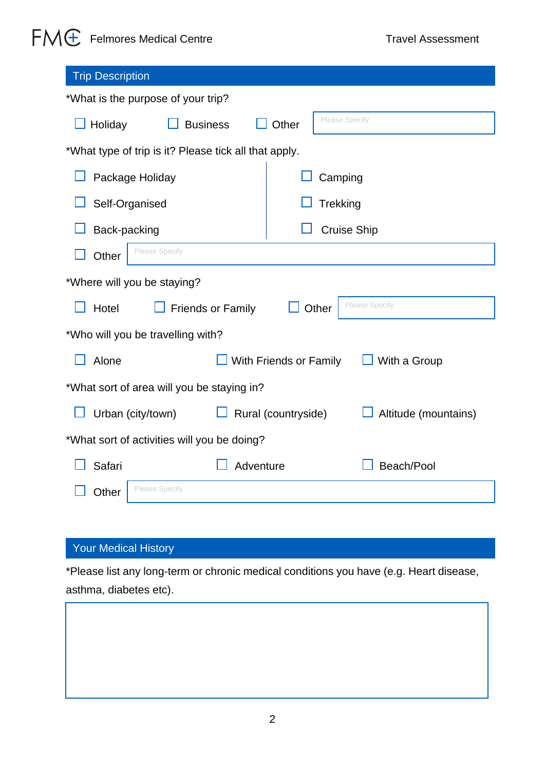## FMG Felmores Medical Centre Travel Assessment

| <b>Trip Description</b>                               |                                             |  |  |  |
|-------------------------------------------------------|---------------------------------------------|--|--|--|
| *What is the purpose of your trip?                    |                                             |  |  |  |
| $\Box$ Holiday<br><b>Business</b>                     | <b>Please Specify</b><br>Other              |  |  |  |
| *What type of trip is it? Please tick all that apply. |                                             |  |  |  |
| Package Holiday                                       | Camping                                     |  |  |  |
| Self-Organised                                        | Trekking                                    |  |  |  |
| Back-packing                                          | <b>Cruise Ship</b>                          |  |  |  |
| <b>Please Specify</b><br>Other                        |                                             |  |  |  |
| *Where will you be staying?                           |                                             |  |  |  |
| Hotel<br><b>Friends or Family</b>                     | Please Specify<br>Other                     |  |  |  |
| *Who will you be travelling with?                     |                                             |  |  |  |
| Alone                                                 | With Friends or Family<br>With a Group      |  |  |  |
| *What sort of area will you be staying in?            |                                             |  |  |  |
| Urban (city/town)                                     | Rural (countryside)<br>Altitude (mountains) |  |  |  |
| *What sort of activities will you be doing?           |                                             |  |  |  |
| Safari                                                | Adventure<br>Beach/Pool                     |  |  |  |
| Please Specify<br>Other                               |                                             |  |  |  |

## Your Medical History

\*Please list any long-term or chronic medical conditions you have (e.g. Heart disease, asthma, diabetes etc).

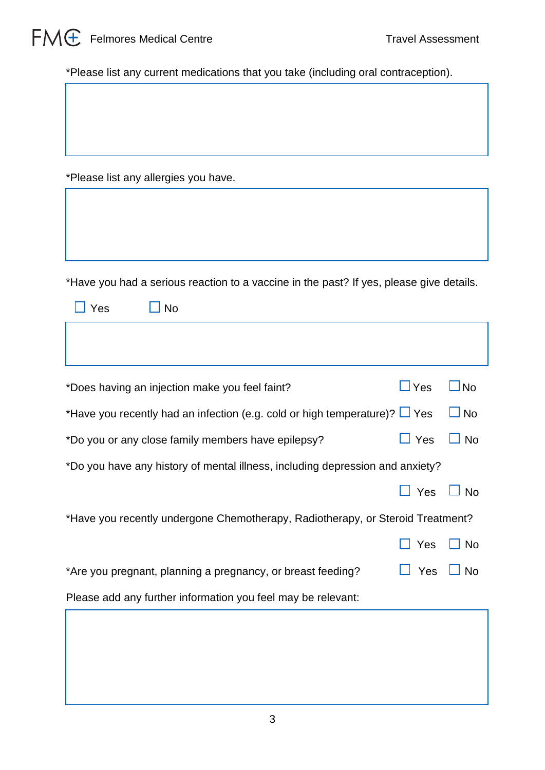\*Please list any current medications that you take (including oral contraception).

\*Please list any allergies you have.

\*Have you had a serious reaction to a vaccine in the past? If yes, please give details.

| <b>No</b><br>Yes                                                                |            |              |  |  |
|---------------------------------------------------------------------------------|------------|--------------|--|--|
|                                                                                 |            |              |  |  |
| *Does having an injection make you feel faint?                                  | $\Box$ Yes | $\square$ No |  |  |
| *Have you recently had an infection (e.g. cold or high temperature)? $\Box$ Yes |            | $\Box$ No    |  |  |
| *Do you or any close family members have epilepsy?                              | $\Box$ Yes | $\Box$ No    |  |  |
| *Do you have any history of mental illness, including depression and anxiety?   |            |              |  |  |
|                                                                                 | Yes        | $\Box$ No    |  |  |
| *Have you recently undergone Chemotherapy, Radiotherapy, or Steroid Treatment?  |            |              |  |  |
|                                                                                 | Yes        | No           |  |  |
| *Are you pregnant, planning a pregnancy, or breast feeding?                     | Yes        | <b>No</b>    |  |  |
| Please add any further information you feel may be relevant:                    |            |              |  |  |